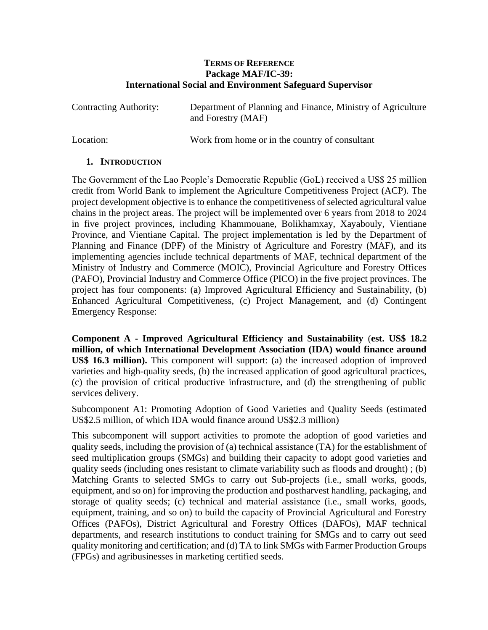#### **TERMS OF REFERENCE Package MAF/IC-39: International Social and Environment Safeguard Supervisor**

| Contracting Authority: | Department of Planning and Finance, Ministry of Agriculture<br>and Forestry (MAF) |
|------------------------|-----------------------------------------------------------------------------------|
|                        |                                                                                   |

Location: Work from home or in the country of consultant

# **1. INTRODUCTION**

The Government of the Lao People's Democratic Republic (GoL) received a US\$ 25 million credit from World Bank to implement the Agriculture Competitiveness Project (ACP). The project development objective is to enhance the competitiveness of selected agricultural value chains in the project areas. The project will be implemented over 6 years from 2018 to 2024 in five project provinces, including Khammouane, Bolikhamxay, Xayabouly, Vientiane Province, and Vientiane Capital. The project implementation is led by the Department of Planning and Finance (DPF) of the Ministry of Agriculture and Forestry (MAF), and its implementing agencies include technical departments of MAF, technical department of the Ministry of Industry and Commerce (MOIC), Provincial Agriculture and Forestry Offices (PAFO), Provincial Industry and Commerce Office (PICO) in the five project provinces. The project has four components: (a) Improved Agricultural Efficiency and Sustainability, (b) Enhanced Agricultural Competitiveness, (c) Project Management, and (d) Contingent Emergency Response:

**Component A - Improved Agricultural Efficiency and Sustainability** (**est. US\$ 18.2 million, of which International Development Association (IDA) would finance around US\$ 16.3 million).** This component will support: (a) the increased adoption of improved varieties and high-quality seeds, (b) the increased application of good agricultural practices, (c) the provision of critical productive infrastructure, and (d) the strengthening of public services delivery.

Subcomponent A1: Promoting Adoption of Good Varieties and Quality Seeds (estimated US\$2.5 million, of which IDA would finance around US\$2.3 million)

This subcomponent will support activities to promote the adoption of good varieties and quality seeds, including the provision of (a) technical assistance (TA) for the establishment of seed multiplication groups (SMGs) and building their capacity to adopt good varieties and quality seeds (including ones resistant to climate variability such as floods and drought) ; (b) Matching Grants to selected SMGs to carry out Sub-projects (i.e., small works, goods, equipment, and so on) for improving the production and postharvest handling, packaging, and storage of quality seeds; (c) technical and material assistance (i.e., small works, goods, equipment, training, and so on) to build the capacity of Provincial Agricultural and Forestry Offices (PAFOs), District Agricultural and Forestry Offices (DAFOs), MAF technical departments, and research institutions to conduct training for SMGs and to carry out seed quality monitoring and certification; and (d) TA to link SMGs with Farmer Production Groups (FPGs) and agribusinesses in marketing certified seeds.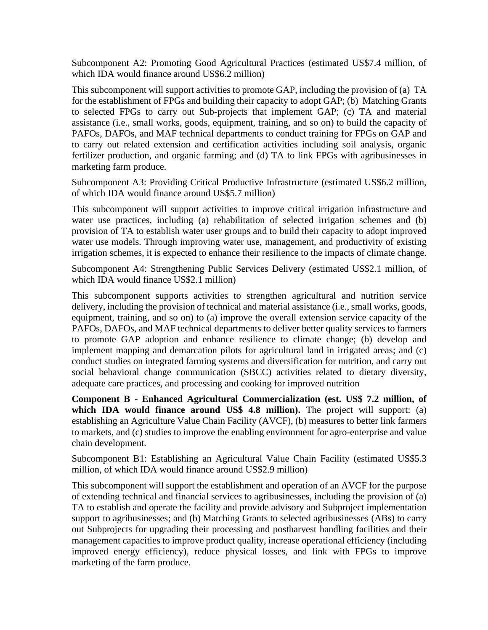Subcomponent A2: Promoting Good Agricultural Practices (estimated US\$7.4 million, of which IDA would finance around US\$6.2 million)

This subcomponent will support activities to promote GAP, including the provision of (a) TA for the establishment of FPGs and building their capacity to adopt GAP; (b) Matching Grants to selected FPGs to carry out Sub-projects that implement GAP; (c) TA and material assistance (i.e., small works, goods, equipment, training, and so on) to build the capacity of PAFOs, DAFOs, and MAF technical departments to conduct training for FPGs on GAP and to carry out related extension and certification activities including soil analysis, organic fertilizer production, and organic farming; and (d) TA to link FPGs with agribusinesses in marketing farm produce.

Subcomponent A3: Providing Critical Productive Infrastructure (estimated US\$6.2 million, of which IDA would finance around US\$5.7 million)

This subcomponent will support activities to improve critical irrigation infrastructure and water use practices, including (a) rehabilitation of selected irrigation schemes and (b) provision of TA to establish water user groups and to build their capacity to adopt improved water use models. Through improving water use, management, and productivity of existing irrigation schemes, it is expected to enhance their resilience to the impacts of climate change.

Subcomponent A4: Strengthening Public Services Delivery (estimated US\$2.1 million, of which IDA would finance US\$2.1 million)

This subcomponent supports activities to strengthen agricultural and nutrition service delivery, including the provision of technical and material assistance (i.e., small works, goods, equipment, training, and so on) to (a) improve the overall extension service capacity of the PAFOs, DAFOs, and MAF technical departments to deliver better quality services to farmers to promote GAP adoption and enhance resilience to climate change; (b) develop and implement mapping and demarcation pilots for agricultural land in irrigated areas; and (c) conduct studies on integrated farming systems and diversification for nutrition, and carry out social behavioral change communication (SBCC) activities related to dietary diversity, adequate care practices, and processing and cooking for improved nutrition

**Component B - Enhanced Agricultural Commercialization (est. US\$ 7.2 million, of**  which **IDA** would finance around US\$ 4.8 million). The project will support: (a) establishing an Agriculture Value Chain Facility (AVCF), (b) measures to better link farmers to markets, and (c) studies to improve the enabling environment for agro-enterprise and value chain development.

Subcomponent B1: Establishing an Agricultural Value Chain Facility (estimated US\$5.3 million, of which IDA would finance around US\$2.9 million)

This subcomponent will support the establishment and operation of an AVCF for the purpose of extending technical and financial services to agribusinesses, including the provision of (a) TA to establish and operate the facility and provide advisory and Subproject implementation support to agribusinesses; and (b) Matching Grants to selected agribusinesses (ABs) to carry out Subprojects for upgrading their processing and postharvest handling facilities and their management capacities to improve product quality, increase operational efficiency (including improved energy efficiency), reduce physical losses, and link with FPGs to improve marketing of the farm produce.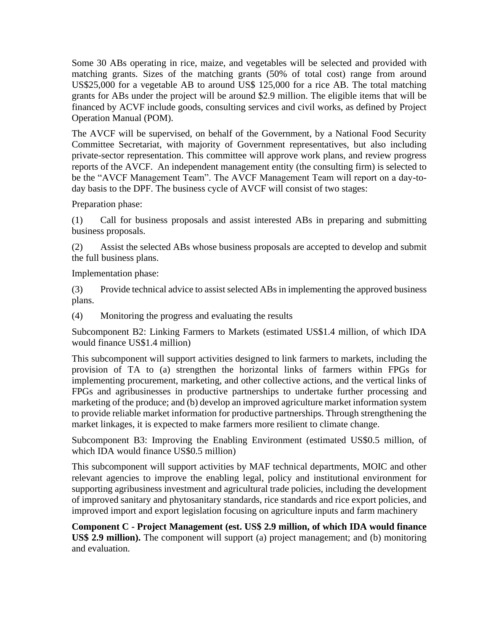Some 30 ABs operating in rice, maize, and vegetables will be selected and provided with matching grants. Sizes of the matching grants (50% of total cost) range from around US\$25,000 for a vegetable AB to around US\$ 125,000 for a rice AB. The total matching grants for ABs under the project will be around \$2.9 million. The eligible items that will be financed by ACVF include goods, consulting services and civil works, as defined by Project Operation Manual (POM).

The AVCF will be supervised, on behalf of the Government, by a National Food Security Committee Secretariat, with majority of Government representatives, but also including private-sector representation. This committee will approve work plans, and review progress reports of the AVCF. An independent management entity (the consulting firm) is selected to be the "AVCF Management Team". The AVCF Management Team will report on a day-today basis to the DPF. The business cycle of AVCF will consist of two stages:

Preparation phase:

(1) Call for business proposals and assist interested ABs in preparing and submitting business proposals.

(2) Assist the selected ABs whose business proposals are accepted to develop and submit the full business plans.

Implementation phase:

(3) Provide technical advice to assist selected ABs in implementing the approved business plans.

(4) Monitoring the progress and evaluating the results

Subcomponent B2: Linking Farmers to Markets (estimated US\$1.4 million, of which IDA would finance US\$1.4 million)

This subcomponent will support activities designed to link farmers to markets, including the provision of TA to (a) strengthen the horizontal links of farmers within FPGs for implementing procurement, marketing, and other collective actions, and the vertical links of FPGs and agribusinesses in productive partnerships to undertake further processing and marketing of the produce; and (b) develop an improved agriculture market information system to provide reliable market information for productive partnerships. Through strengthening the market linkages, it is expected to make farmers more resilient to climate change.

Subcomponent B3: Improving the Enabling Environment (estimated US\$0.5 million, of which IDA would finance US\$0.5 million)

This subcomponent will support activities by MAF technical departments, MOIC and other relevant agencies to improve the enabling legal, policy and institutional environment for supporting agribusiness investment and agricultural trade policies, including the development of improved sanitary and phytosanitary standards, rice standards and rice export policies, and improved import and export legislation focusing on agriculture inputs and farm machinery

**Component C - Project Management (est. US\$ 2.9 million, of which IDA would finance US\$ 2.9 million).** The component will support (a) project management; and (b) monitoring and evaluation.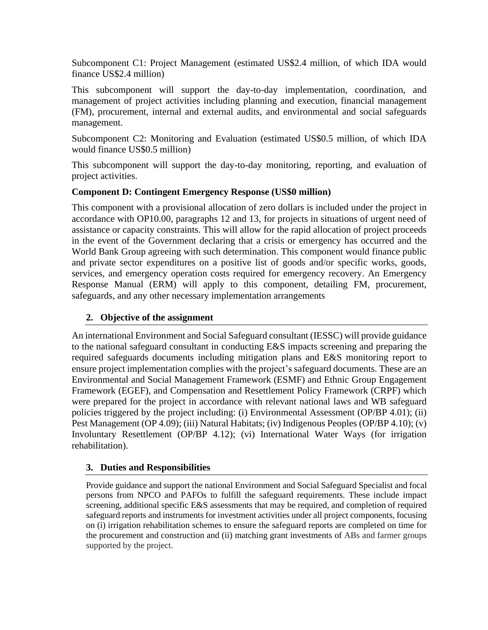Subcomponent C1: Project Management (estimated US\$2.4 million, of which IDA would finance US\$2.4 million)

This subcomponent will support the day-to-day implementation, coordination, and management of project activities including planning and execution, financial management (FM), procurement, internal and external audits, and environmental and social safeguards management.

Subcomponent C2: Monitoring and Evaluation (estimated US\$0.5 million, of which IDA would finance US\$0.5 million)

This subcomponent will support the day-to-day monitoring, reporting, and evaluation of project activities.

# **Component D: Contingent Emergency Response (US\$0 million)**

This component with a provisional allocation of zero dollars is included under the project in accordance with OP10.00, paragraphs 12 and 13, for projects in situations of urgent need of assistance or capacity constraints. This will allow for the rapid allocation of project proceeds in the event of the Government declaring that a crisis or emergency has occurred and the World Bank Group agreeing with such determination. This component would finance public and private sector expenditures on a positive list of goods and/or specific works, goods, services, and emergency operation costs required for emergency recovery. An Emergency Response Manual (ERM) will apply to this component, detailing FM, procurement, safeguards, and any other necessary implementation arrangements

## **2. Objective of the assignment**

An international Environment and Social Safeguard consultant (IESSC) will provide guidance to the national safeguard consultant in conducting E&S impacts screening and preparing the required safeguards documents including mitigation plans and E&S monitoring report to ensure project implementation complies with the project's safeguard documents. These are an Environmental and Social Management Framework (ESMF) and Ethnic Group Engagement Framework (EGEF), and Compensation and Resettlement Policy Framework (CRPF) which were prepared for the project in accordance with relevant national laws and WB safeguard policies triggered by the project including: (i) Environmental Assessment (OP/BP 4.01); (ii) Pest Management (OP 4.09); (iii) Natural Habitats; (iv) Indigenous Peoples (OP/BP 4.10); (v) Involuntary Resettlement (OP/BP 4.12); (vi) International Water Ways (for irrigation rehabilitation).

#### **3. Duties and Responsibilities**

Provide guidance and support the national Environment and Social Safeguard Specialist and focal persons from NPCO and PAFOs to fulfill the safeguard requirements. These include impact screening, additional specific E&S assessments that may be required, and completion of required safeguard reports and instruments for investment activities under all project components, focusing on (i) irrigation rehabilitation schemes to ensure the safeguard reports are completed on time for the procurement and construction and (ii) matching grant investments of ABs and farmer groups supported by the project.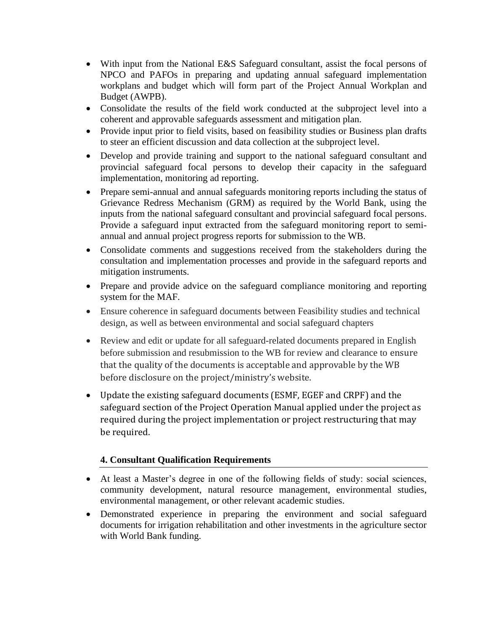- With input from the National E&S Safeguard consultant, assist the focal persons of NPCO and PAFOs in preparing and updating annual safeguard implementation workplans and budget which will form part of the Project Annual Workplan and Budget (AWPB).
- Consolidate the results of the field work conducted at the subproject level into a coherent and approvable safeguards assessment and mitigation plan.
- Provide input prior to field visits, based on feasibility studies or Business plan drafts to steer an efficient discussion and data collection at the subproject level.
- Develop and provide training and support to the national safeguard consultant and provincial safeguard focal persons to develop their capacity in the safeguard implementation, monitoring ad reporting.
- Prepare semi-annual and annual safeguards monitoring reports including the status of Grievance Redress Mechanism (GRM) as required by the World Bank, using the inputs from the national safeguard consultant and provincial safeguard focal persons. Provide a safeguard input extracted from the safeguard monitoring report to semiannual and annual project progress reports for submission to the WB.
- Consolidate comments and suggestions received from the stakeholders during the consultation and implementation processes and provide in the safeguard reports and mitigation instruments.
- Prepare and provide advice on the safeguard compliance monitoring and reporting system for the MAF.
- Ensure coherence in safeguard documents between Feasibility studies and technical design, as well as between environmental and social safeguard chapters
- Review and edit or update for all safeguard-related documents prepared in English before submission and resubmission to the WB for review and clearance to ensure that the quality of the documents is acceptable and approvable by the WB before disclosure on the project/ministry's website.
- Update the existing safeguard documents (ESMF, EGEF and CRPF) and the safeguard section of the Project Operation Manual applied under the project as required during the project implementation or project restructuring that may be required.

# **4. Consultant Qualification Requirements**

- At least a Master's degree in one of the following fields of study: social sciences, community development, natural resource management, environmental studies, environmental management, or other relevant academic studies.
- Demonstrated experience in preparing the environment and social safeguard documents for irrigation rehabilitation and other investments in the agriculture sector with World Bank funding.